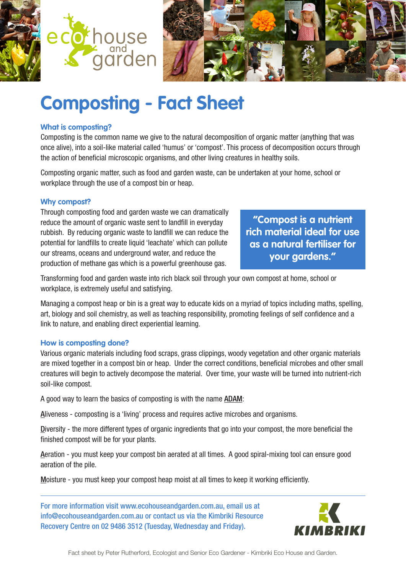



# **Composting - Fact Sheet**

#### **What is composting?**

Composting is the common name we give to the natural decomposition of organic matter (anything that was once alive), into a soil-like material called 'humus' or 'compost'. This process of decomposition occurs through the action of beneficial microscopic organisms, and other living creatures in healthy soils.

Composting organic matter, such as food and garden waste, can be undertaken at your home, school or workplace through the use of a compost bin or heap.

#### **Why compost?**

Through composting food and garden waste we can dramatically reduce the amount of organic waste sent to landfill in everyday rubbish. By reducing organic waste to landfill we can reduce the potential for landfills to create liquid 'leachate' which can pollute our streams, oceans and underground water, and reduce the production of methane gas which is a powerful greenhouse gas.

**"Compost is a nutrient rich material ideal for use as a natural fertiliser for your gardens."**

Transforming food and garden waste into rich black soil through your own compost at home, school or workplace, is extremely useful and satisfying.

Managing a compost heap or bin is a great way to educate kids on a myriad of topics including maths, spelling, art, biology and soil chemistry, as well as teaching responsibility, promoting feelings of self confidence and a link to nature, and enabling direct experiential learning.

### **How is composting done?**

Various organic materials including food scraps, grass clippings, woody vegetation and other organic materials are mixed together in a compost bin or heap. Under the correct conditions, beneficial microbes and other small creatures will begin to actively decompose the material. Over time, your waste will be turned into nutrient-rich soil-like compost.

A good way to learn the basics of composting is with the name ADAM:

Aliveness - composting is a 'living' process and requires active microbes and organisms.

Diversity - the more different types of organic ingredients that go into your compost, the more beneficial the finished compost will be for your plants.

Aeration - you must keep your compost bin aerated at all times. A good spiral-mixing tool can ensure good aeration of the pile.

Moisture - you must keep your compost heap moist at all times to keep it working efficiently.

For more information visit www.ecohouseandgarden.com.au, email us at info@ecohouseandgarden.com.au or contact us via the Kimbriki Resource Recovery Centre on 02 9486 3512 (Tuesday, Wednesday and Friday).